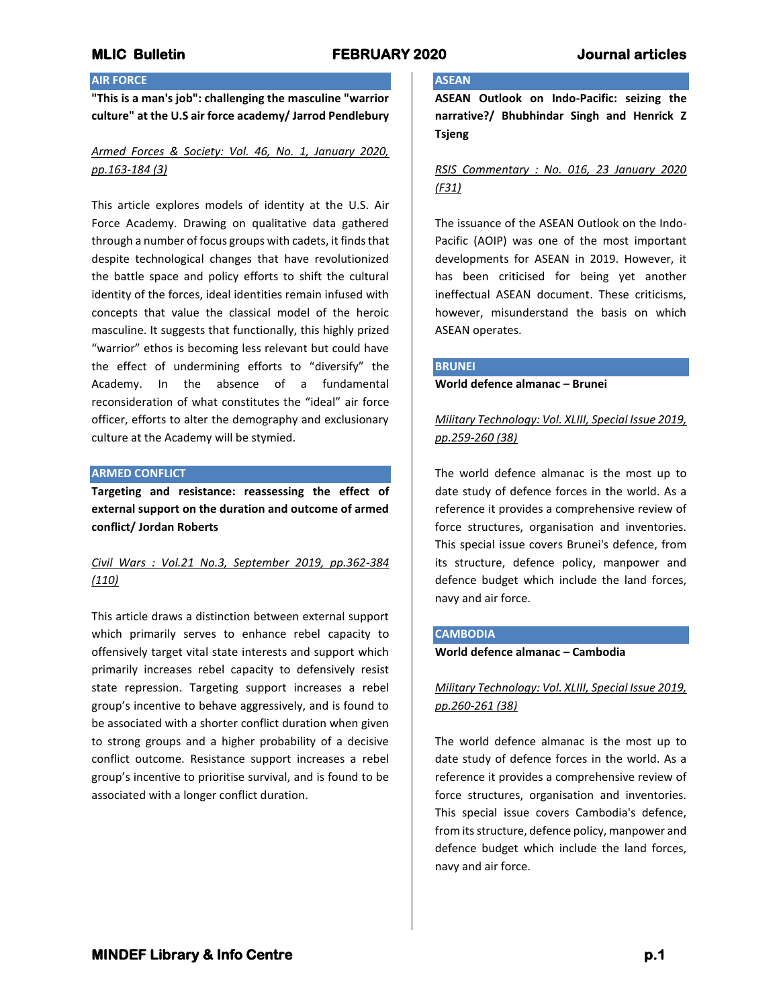## **AIR FORCE**

**"This is a man's job": challenging the masculine "warrior culture" at the U.S air force academy/ Jarrod Pendlebury**

# *Armed Forces & Society: Vol. 46, No. 1, January 2020, pp.163-184 (3)*

This article explores models of identity at the U.S. Air Force Academy. Drawing on qualitative data gathered through a number of focus groups with cadets, it finds that despite technological changes that have revolutionized the battle space and policy efforts to shift the cultural identity of the forces, ideal identities remain infused with concepts that value the classical model of the heroic masculine. It suggests that functionally, this highly prized "warrior" ethos is becoming less relevant but could have the effect of undermining efforts to "diversify" the Academy. In the absence of a fundamental reconsideration of what constitutes the "ideal" air force officer, efforts to alter the demography and exclusionary culture at the Academy will be stymied.

#### **ARMED CONFLICT**

**Targeting and resistance: reassessing the effect of external support on the duration and outcome of armed conflict/ Jordan Roberts**

# *Civil Wars : Vol.21 No.3, September 2019, pp.362-384 (110)*

This article draws a distinction between external support which primarily serves to enhance rebel capacity to offensively target vital state interests and support which primarily increases rebel capacity to defensively resist state repression. Targeting support increases a rebel group's incentive to behave aggressively, and is found to be associated with a shorter conflict duration when given to strong groups and a higher probability of a decisive conflict outcome. Resistance support increases a rebel group's incentive to prioritise survival, and is found to be associated with a longer conflict duration.

## **ASEAN**

**ASEAN Outlook on Indo-Pacific: seizing the narrative?/ Bhubhindar Singh and Henrick Z Tsjeng**

# *RSIS Commentary : No. 016, 23 January 2020 (F31)*

The issuance of the ASEAN Outlook on the Indo-Pacific (AOIP) was one of the most important developments for ASEAN in 2019. However, it has been criticised for being yet another ineffectual ASEAN document. These criticisms, however, misunderstand the basis on which ASEAN operates.

#### **BRUNEI**

**World defence almanac – Brunei**

*Military Technology: Vol. XLIII, Special Issue 2019, pp.259-260 (38)*

The world defence almanac is the most up to date study of defence forces in the world. As a reference it provides a comprehensive review of force structures, organisation and inventories. This special issue covers Brunei's defence, from its structure, defence policy, manpower and defence budget which include the land forces, navy and air force.

### **CAMBODIA**

**World defence almanac – Cambodia**

## *Military Technology: Vol. XLIII, Special Issue 2019, pp.260-261 (38)*

The world defence almanac is the most up to date study of defence forces in the world. As a reference it provides a comprehensive review of force structures, organisation and inventories. This special issue covers Cambodia's defence, from its structure, defence policy, manpower and defence budget which include the land forces, navy and air force.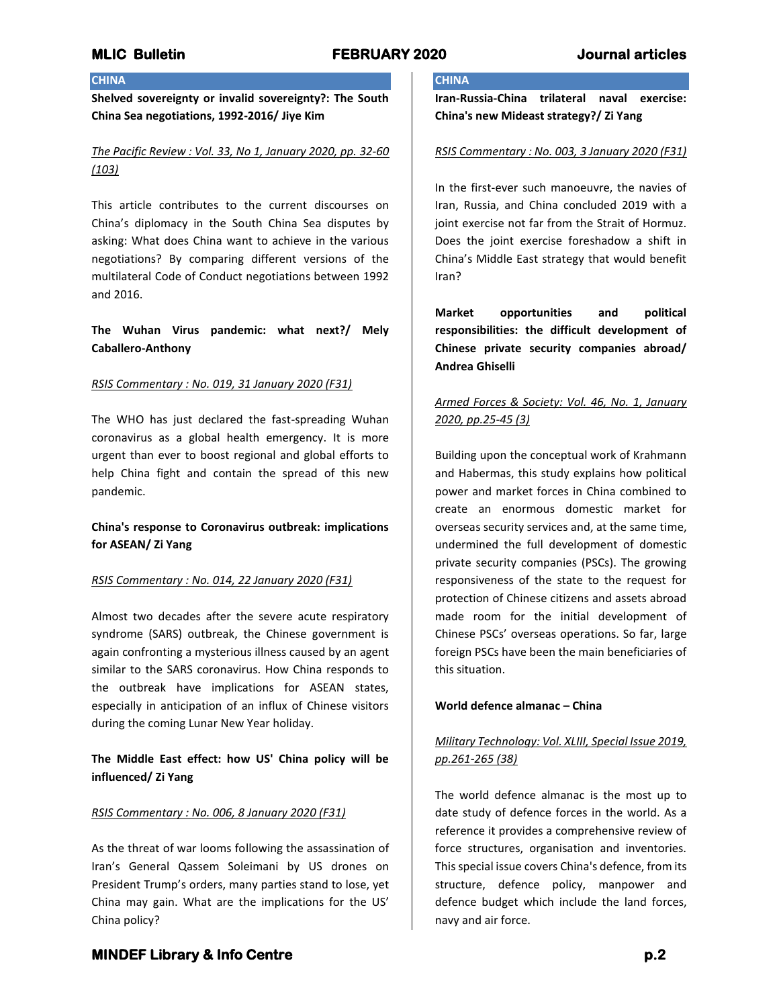## **CHINA**

**Shelved sovereignty or invalid sovereignty?: The South China Sea negotiations, 1992-2016/ Jiye Kim**

*The Pacific Review : Vol. 33, No 1, January 2020, pp. 32-60 (103)*

This article contributes to the current discourses on China's diplomacy in the South China Sea disputes by asking: What does China want to achieve in the various negotiations? By comparing different versions of the multilateral Code of Conduct negotiations between 1992 and 2016.

**The Wuhan Virus pandemic: what next?/ Mely Caballero-Anthony**

### *RSIS Commentary : No. 019, 31 January 2020 (F31)*

The WHO has just declared the fast-spreading Wuhan coronavirus as a global health emergency. It is more urgent than ever to boost regional and global efforts to help China fight and contain the spread of this new pandemic.

**China's response to Coronavirus outbreak: implications for ASEAN/ Zi Yang**

### *RSIS Commentary : No. 014, 22 January 2020 (F31)*

Almost two decades after the severe acute respiratory syndrome (SARS) outbreak, the Chinese government is again confronting a mysterious illness caused by an agent similar to the SARS coronavirus. How China responds to the outbreak have implications for ASEAN states, especially in anticipation of an influx of Chinese visitors during the coming Lunar New Year holiday.

**The Middle East effect: how US' China policy will be influenced/ Zi Yang**

### *RSIS Commentary : No. 006, 8 January 2020 (F31)*

As the threat of war looms following the assassination of Iran's General Qassem Soleimani by US drones on President Trump's orders, many parties stand to lose, yet China may gain. What are the implications for the US' China policy?

# **CHINA**

**Iran-Russia-China trilateral naval exercise: China's new Mideast strategy?/ Zi Yang**

### *RSIS Commentary : No. 003, 3 January 2020 (F31)*

In the first-ever such manoeuvre, the navies of Iran, Russia, and China concluded 2019 with a joint exercise not far from the Strait of Hormuz. Does the joint exercise foreshadow a shift in China's Middle East strategy that would benefit Iran?

**Market opportunities and political responsibilities: the difficult development of Chinese private security companies abroad/ Andrea Ghiselli**

# *Armed Forces & Society: Vol. 46, No. 1, January 2020, pp.25-45 (3)*

Building upon the conceptual work of Krahmann and Habermas, this study explains how political power and market forces in China combined to create an enormous domestic market for overseas security services and, at the same time, undermined the full development of domestic private security companies (PSCs). The growing responsiveness of the state to the request for protection of Chinese citizens and assets abroad made room for the initial development of Chinese PSCs' overseas operations. So far, large foreign PSCs have been the main beneficiaries of this situation.

### **World defence almanac – China**

# *Military Technology: Vol. XLIII, Special Issue 2019, pp.261-265 (38)*

The world defence almanac is the most up to date study of defence forces in the world. As a reference it provides a comprehensive review of force structures, organisation and inventories. This special issue covers China's defence, from its structure, defence policy, manpower and defence budget which include the land forces, navy and air force.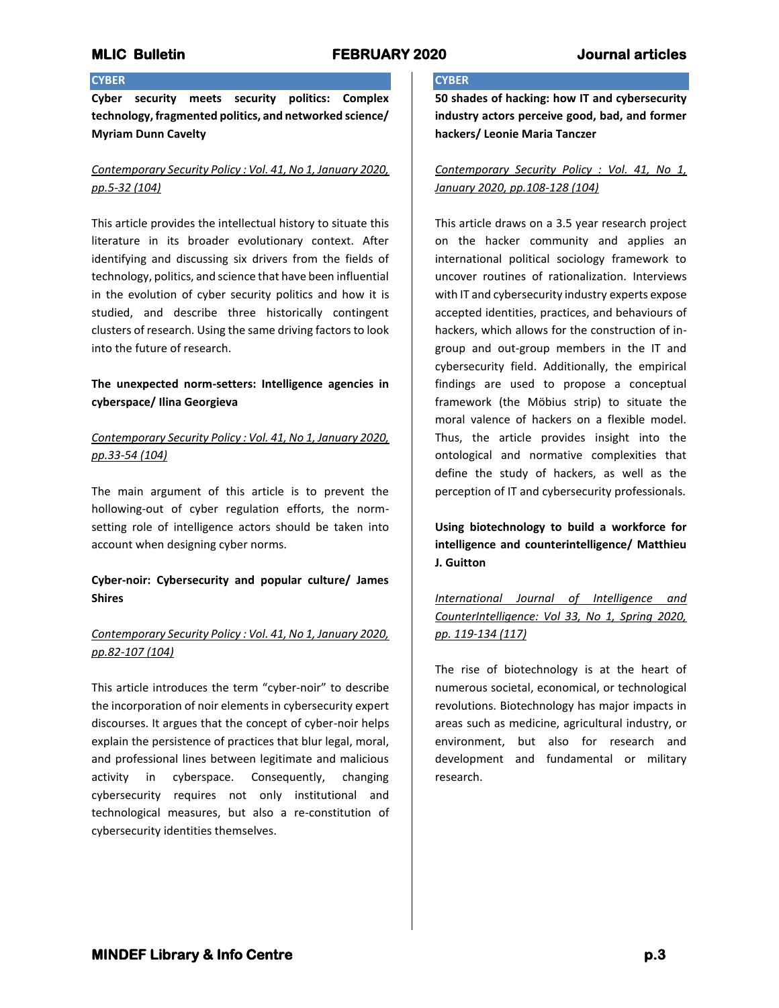## **CYBER**

**Cyber security meets security politics: Complex technology, fragmented politics, and networked science/ Myriam Dunn Cavelty**

# *Contemporary Security Policy : Vol. 41, No 1, January 2020, pp.5-32 (104)*

This article provides the intellectual history to situate this literature in its broader evolutionary context. After identifying and discussing six drivers from the fields of technology, politics, and science that have been influential in the evolution of cyber security politics and how it is studied, and describe three historically contingent clusters of research. Using the same driving factors to look into the future of research.

# **The unexpected norm-setters: Intelligence agencies in cyberspace/ Ilina Georgieva**

# *Contemporary Security Policy : Vol. 41, No 1, January 2020, pp.33-54 (104)*

The main argument of this article is to prevent the hollowing-out of cyber regulation efforts, the normsetting role of intelligence actors should be taken into account when designing cyber norms.

# **Cyber-noir: Cybersecurity and popular culture/ James Shires**

## *Contemporary Security Policy : Vol. 41, No 1, January 2020, pp.82-107 (104)*

This article introduces the term "cyber-noir" to describe the incorporation of noir elements in cybersecurity expert discourses. It argues that the concept of cyber-noir helps explain the persistence of practices that blur legal, moral, and professional lines between legitimate and malicious activity in cyberspace. Consequently, changing cybersecurity requires not only institutional and technological measures, but also a re-constitution of cybersecurity identities themselves.

### **CYBER**

**50 shades of hacking: how IT and cybersecurity industry actors perceive good, bad, and former hackers/ Leonie Maria Tanczer**

# *Contemporary Security Policy : Vol. 41, No 1, January 2020, pp.108-128 (104)*

This article draws on a 3.5 year research project on the hacker community and applies an international political sociology framework to uncover routines of rationalization. Interviews with IT and cybersecurity industry experts expose accepted identities, practices, and behaviours of hackers, which allows for the construction of ingroup and out-group members in the IT and cybersecurity field. Additionally, the empirical findings are used to propose a conceptual framework (the Möbius strip) to situate the moral valence of hackers on a flexible model. Thus, the article provides insight into the ontological and normative complexities that define the study of hackers, as well as the perception of IT and cybersecurity professionals.

**Using biotechnology to build a workforce for intelligence and counterintelligence/ Matthieu J. Guitton**

*International Journal of Intelligence and CounterIntelligence: Vol 33, No 1, Spring 2020, pp. 119-134 (117)*

The rise of biotechnology is at the heart of numerous societal, economical, or technological revolutions. Biotechnology has major impacts in areas such as medicine, agricultural industry, or environment, but also for research and development and fundamental or military research.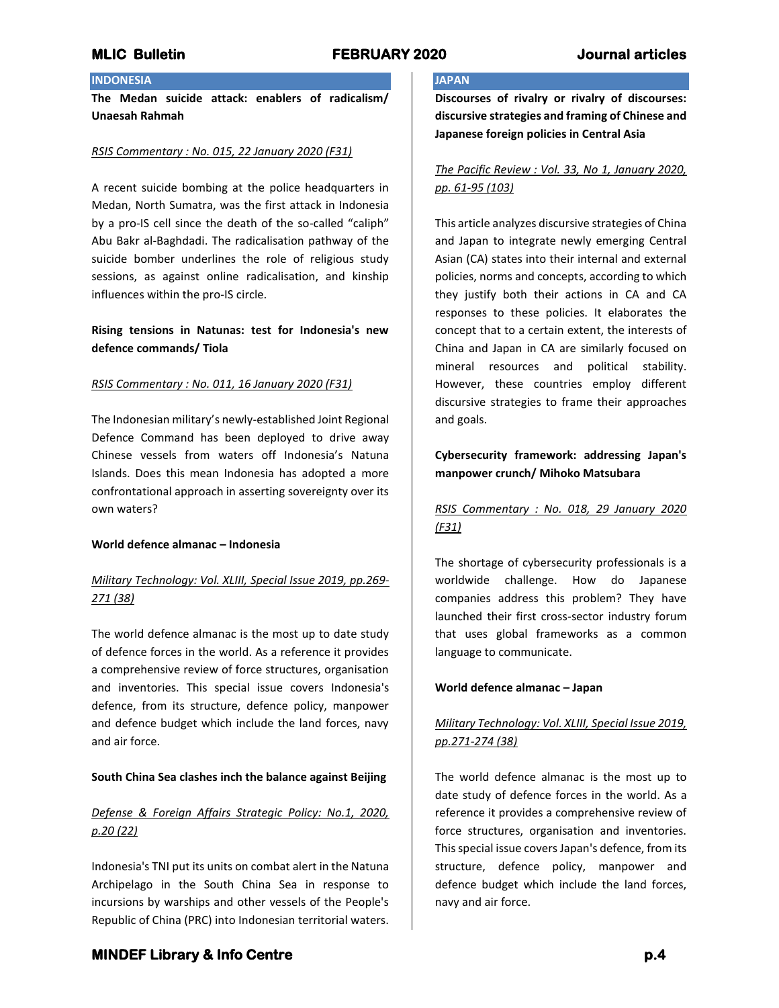# **INDONESIA**

**The Medan suicide attack: enablers of radicalism/ Unaesah Rahmah**

### *RSIS Commentary : No. 015, 22 January 2020 (F31)*

A recent suicide bombing at the police headquarters in Medan, North Sumatra, was the first attack in Indonesia by a pro-IS cell since the death of the so-called "caliph" Abu Bakr al-Baghdadi. The radicalisation pathway of the suicide bomber underlines the role of religious study sessions, as against online radicalisation, and kinship influences within the pro-IS circle.

# **Rising tensions in Natunas: test for Indonesia's new defence commands/ Tiola**

## *RSIS Commentary : No. 011, 16 January 2020 (F31)*

The Indonesian military's newly-established Joint Regional Defence Command has been deployed to drive away Chinese vessels from waters off Indonesia's Natuna Islands. Does this mean Indonesia has adopted a more confrontational approach in asserting sovereignty over its own waters?

## **World defence almanac – Indonesia**

# *Military Technology: Vol. XLIII, Special Issue 2019, pp.269- 271 (38)*

The world defence almanac is the most up to date study of defence forces in the world. As a reference it provides a comprehensive review of force structures, organisation and inventories. This special issue covers Indonesia's defence, from its structure, defence policy, manpower and defence budget which include the land forces, navy and air force.

## **South China Sea clashes inch the balance against Beijing**

# *Defense & Foreign Affairs Strategic Policy: No.1, 2020, p.20 (22)*

Indonesia's TNI put its units on combat alert in the Natuna Archipelago in the South China Sea in response to incursions by warships and other vessels of the People's Republic of China (PRC) into Indonesian territorial waters.

## **JAPAN**

**Discourses of rivalry or rivalry of discourses: discursive strategies and framing of Chinese and Japanese foreign policies in Central Asia**

# *The Pacific Review : Vol. 33, No 1, January 2020, pp. 61-95 (103)*

This article analyzes discursive strategies of China and Japan to integrate newly emerging Central Asian (CA) states into their internal and external policies, norms and concepts, according to which they justify both their actions in CA and CA responses to these policies. It elaborates the concept that to a certain extent, the interests of China and Japan in CA are similarly focused on mineral resources and political stability. However, these countries employ different discursive strategies to frame their approaches and goals.

# **Cybersecurity framework: addressing Japan's manpower crunch/ Mihoko Matsubara**

# *RSIS Commentary : No. 018, 29 January 2020 (F31)*

The shortage of cybersecurity professionals is a worldwide challenge. How do Japanese companies address this problem? They have launched their first cross-sector industry forum that uses global frameworks as a common language to communicate.

## **World defence almanac – Japan**

# *Military Technology: Vol. XLIII, Special Issue 2019, pp.271-274 (38)*

The world defence almanac is the most up to date study of defence forces in the world. As a reference it provides a comprehensive review of force structures, organisation and inventories. This special issue covers Japan's defence, from its structure, defence policy, manpower and defence budget which include the land forces, navy and air force.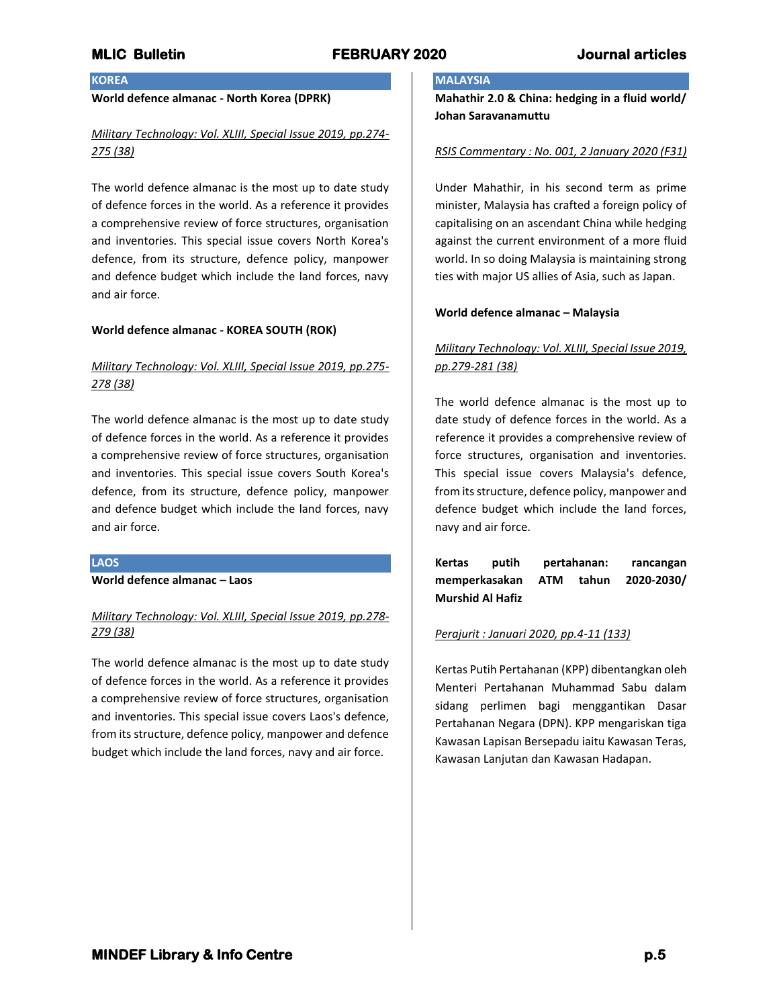## **KOREA**

## **World defence almanac - North Korea (DPRK)**

## *Military Technology: Vol. XLIII, Special Issue 2019, pp.274- 275 (38)*

The world defence almanac is the most up to date study of defence forces in the world. As a reference it provides a comprehensive review of force structures, organisation and inventories. This special issue covers North Korea's defence, from its structure, defence policy, manpower and defence budget which include the land forces, navy and air force.

### **World defence almanac - KOREA SOUTH (ROK)**

# *Military Technology: Vol. XLIII, Special Issue 2019, pp.275- 278 (38)*

The world defence almanac is the most up to date study of defence forces in the world. As a reference it provides a comprehensive review of force structures, organisation and inventories. This special issue covers South Korea's defence, from its structure, defence policy, manpower and defence budget which include the land forces, navy and air force.

### **LAOS**

**World defence almanac – Laos**

## *Military Technology: Vol. XLIII, Special Issue 2019, pp.278- 279 (38)*

The world defence almanac is the most up to date study of defence forces in the world. As a reference it provides a comprehensive review of force structures, organisation and inventories. This special issue covers Laos's defence, from its structure, defence policy, manpower and defence budget which include the land forces, navy and air force.

## **MALAYSIA**

**Mahathir 2.0 & China: hedging in a fluid world/ Johan Saravanamuttu**

### *RSIS Commentary : No. 001, 2 January 2020 (F31)*

Under Mahathir, in his second term as prime minister, Malaysia has crafted a foreign policy of capitalising on an ascendant China while hedging against the current environment of a more fluid world. In so doing Malaysia is maintaining strong ties with major US allies of Asia, such as Japan.

#### **World defence almanac – Malaysia**

# *Military Technology: Vol. XLIII, Special Issue 2019, pp.279-281 (38)*

The world defence almanac is the most up to date study of defence forces in the world. As a reference it provides a comprehensive review of force structures, organisation and inventories. This special issue covers Malaysia's defence, from its structure, defence policy, manpower and defence budget which include the land forces, navy and air force.

**Kertas putih pertahanan: rancangan memperkasakan ATM tahun 2020-2030/ Murshid Al Hafiz**

### *Perajurit : Januari 2020, pp.4-11 (133)*

Kertas Putih Pertahanan (KPP) dibentangkan oleh Menteri Pertahanan Muhammad Sabu dalam sidang perlimen bagi menggantikan Dasar Pertahanan Negara (DPN). KPP mengariskan tiga Kawasan Lapisan Bersepadu iaitu Kawasan Teras, Kawasan Lanjutan dan Kawasan Hadapan.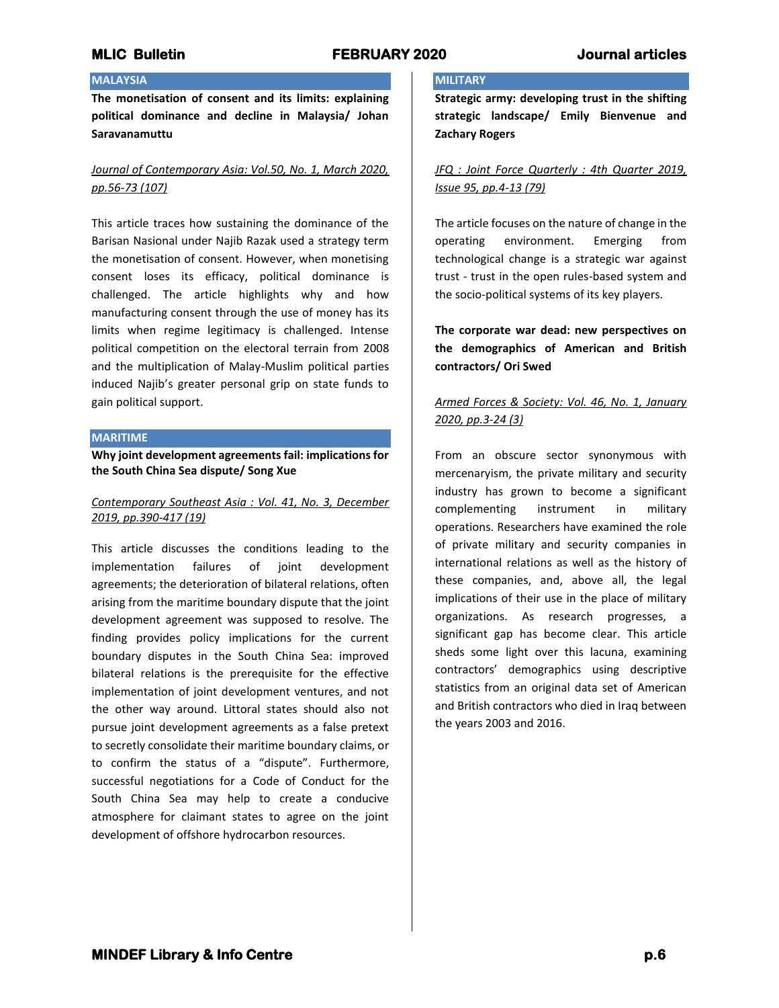### **MALAYSIA**

**The monetisation of consent and its limits: explaining political dominance and decline in Malaysia/ Johan Saravanamuttu**

## *Journal of Contemporary Asia: Vol.50, No. 1, March 2020, pp.56-73 (107)*

This article traces how sustaining the dominance of the Barisan Nasional under Najib Razak used a strategy term the monetisation of consent. However, when monetising consent loses its efficacy, political dominance is challenged. The article highlights why and how manufacturing consent through the use of money has its limits when regime legitimacy is challenged. Intense political competition on the electoral terrain from 2008 and the multiplication of Malay-Muslim political parties induced Najib's greater personal grip on state funds to gain political support.

### **MARITIME**

**Why joint development agreements fail: implications for the South China Sea dispute/ Song Xue**

## *Contemporary Southeast Asia : Vol. 41, No. 3, December 2019, pp.390-417 (19)*

This article discusses the conditions leading to the implementation failures of joint development agreements; the deterioration of bilateral relations, often arising from the maritime boundary dispute that the joint development agreement was supposed to resolve. The finding provides policy implications for the current boundary disputes in the South China Sea: improved bilateral relations is the prerequisite for the effective implementation of joint development ventures, and not the other way around. Littoral states should also not pursue joint development agreements as a false pretext to secretly consolidate their maritime boundary claims, or to confirm the status of a "dispute". Furthermore, successful negotiations for a Code of Conduct for the South China Sea may help to create a conducive atmosphere for claimant states to agree on the joint development of offshore hydrocarbon resources.

### **MILITARY**

**Strategic army: developing trust in the shifting strategic landscape/ Emily Bienvenue and Zachary Rogers**

# *JFQ : Joint Force Quarterly : 4th Quarter 2019, Issue 95, pp.4-13 (79)*

The article focuses on the nature of change in the operating environment. Emerging from technological change is a strategic war against trust - trust in the open rules-based system and the socio-political systems of its key players.

**The corporate war dead: new perspectives on the demographics of American and British contractors/ Ori Swed**

# *Armed Forces & Society: Vol. 46, No. 1, January 2020, pp.3-24 (3)*

From an obscure sector synonymous with mercenaryism, the private military and security industry has grown to become a significant complementing instrument in military operations. Researchers have examined the role of private military and security companies in international relations as well as the history of these companies, and, above all, the legal implications of their use in the place of military organizations. As research progresses, a significant gap has become clear. This article sheds some light over this lacuna, examining contractors' demographics using descriptive statistics from an original data set of American and British contractors who died in Iraq between the years 2003 and 2016.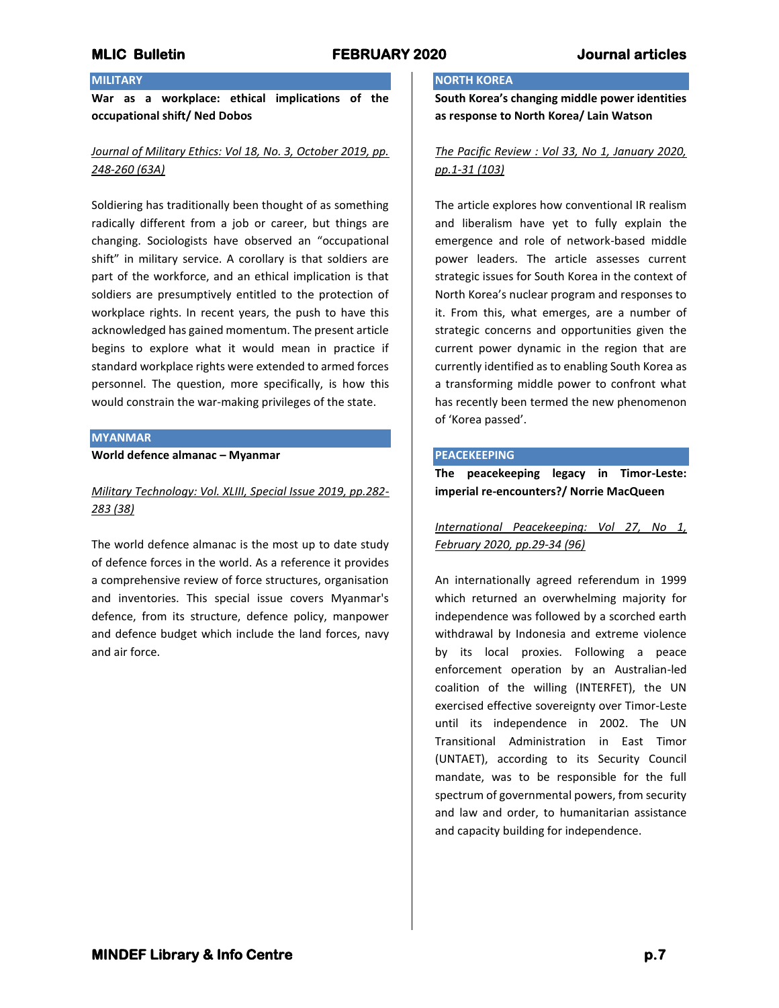## **MILITARY**

**War as a workplace: ethical implications of the occupational shift/ Ned Dobos**

# *Journal of Military Ethics: Vol 18, No. 3, October 2019, pp. 248-260 (63A)*

Soldiering has traditionally been thought of as something radically different from a job or career, but things are changing. Sociologists have observed an "occupational shift" in military service. A corollary is that soldiers are part of the workforce, and an ethical implication is that soldiers are presumptively entitled to the protection of workplace rights. In recent years, the push to have this acknowledged has gained momentum. The present article begins to explore what it would mean in practice if standard workplace rights were extended to armed forces personnel. The question, more specifically, is how this would constrain the war-making privileges of the state.

#### **MYANMAR**

**World defence almanac – Myanmar**

# *Military Technology: Vol. XLIII, Special Issue 2019, pp.282- 283 (38)*

The world defence almanac is the most up to date study of defence forces in the world. As a reference it provides a comprehensive review of force structures, organisation and inventories. This special issue covers Myanmar's defence, from its structure, defence policy, manpower and defence budget which include the land forces, navy and air force.

### **NORTH KOREA**

**South Korea's changing middle power identities as response to North Korea/ Lain Watson**

## *The Pacific Review : Vol 33, No 1, January 2020, pp.1-31 (103)*

The article explores how conventional IR realism and liberalism have yet to fully explain the emergence and role of network-based middle power leaders. The article assesses current strategic issues for South Korea in the context of North Korea's nuclear program and responses to it. From this, what emerges, are a number of strategic concerns and opportunities given the current power dynamic in the region that are currently identified as to enabling South Korea as a transforming middle power to confront what has recently been termed the new phenomenon of 'Korea passed'.

#### **PEACEKEEPING**

**The peacekeeping legacy in Timor-Leste: imperial re-encounters?/ Norrie MacQueen**

*International Peacekeeping: Vol 27, No 1, February 2020, pp.29-34 (96)*

An internationally agreed referendum in 1999 which returned an overwhelming majority for independence was followed by a scorched earth withdrawal by Indonesia and extreme violence by its local proxies. Following a peace enforcement operation by an Australian-led coalition of the willing (INTERFET), the UN exercised effective sovereignty over Timor-Leste until its independence in 2002. The UN Transitional Administration in East Timor (UNTAET), according to its Security Council mandate, was to be responsible for the full spectrum of governmental powers, from security and law and order, to humanitarian assistance and capacity building for independence.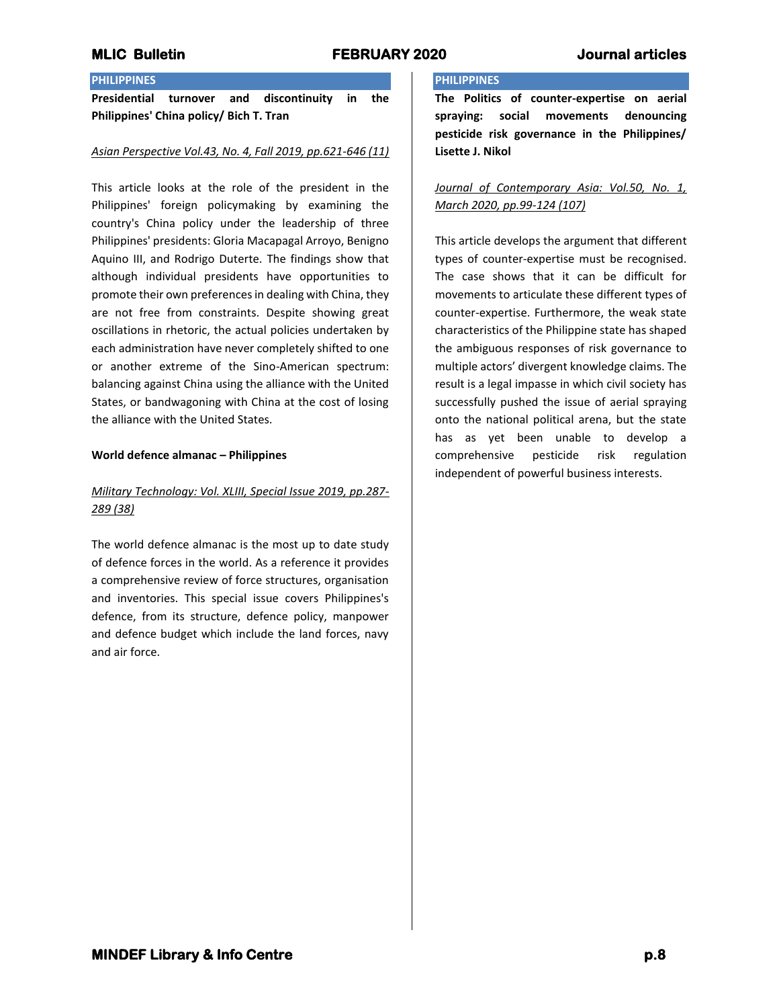# **PHILIPPINES**

**Presidential turnover and discontinuity in the Philippines' China policy/ Bich T. Tran**

### *Asian Perspective Vol.43, No. 4, Fall 2019, pp.621-646 (11)*

This article looks at the role of the president in the Philippines' foreign policymaking by examining the country's China policy under the leadership of three Philippines' presidents: Gloria Macapagal Arroyo, Benigno Aquino III, and Rodrigo Duterte. The findings show that although individual presidents have opportunities to promote their own preferences in dealing with China, they are not free from constraints. Despite showing great oscillations in rhetoric, the actual policies undertaken by each administration have never completely shifted to one or another extreme of the Sino-American spectrum: balancing against China using the alliance with the United States, or bandwagoning with China at the cost of losing the alliance with the United States.

### **World defence almanac – Philippines**

# *Military Technology: Vol. XLIII, Special Issue 2019, pp.287- 289 (38)*

The world defence almanac is the most up to date study of defence forces in the world. As a reference it provides a comprehensive review of force structures, organisation and inventories. This special issue covers Philippines's defence, from its structure, defence policy, manpower and defence budget which include the land forces, navy and air force.

## **PHILIPPINES**

**The Politics of counter-expertise on aerial spraying: social movements denouncing pesticide risk governance in the Philippines/ Lisette J. Nikol**

## *Journal of Contemporary Asia: Vol.50, No. 1, March 2020, pp.99-124 (107)*

This article develops the argument that different types of counter-expertise must be recognised. The case shows that it can be difficult for movements to articulate these different types of counter-expertise. Furthermore, the weak state characteristics of the Philippine state has shaped the ambiguous responses of risk governance to multiple actors' divergent knowledge claims. The result is a legal impasse in which civil society has successfully pushed the issue of aerial spraying onto the national political arena, but the state has as yet been unable to develop a comprehensive pesticide risk regulation independent of powerful business interests.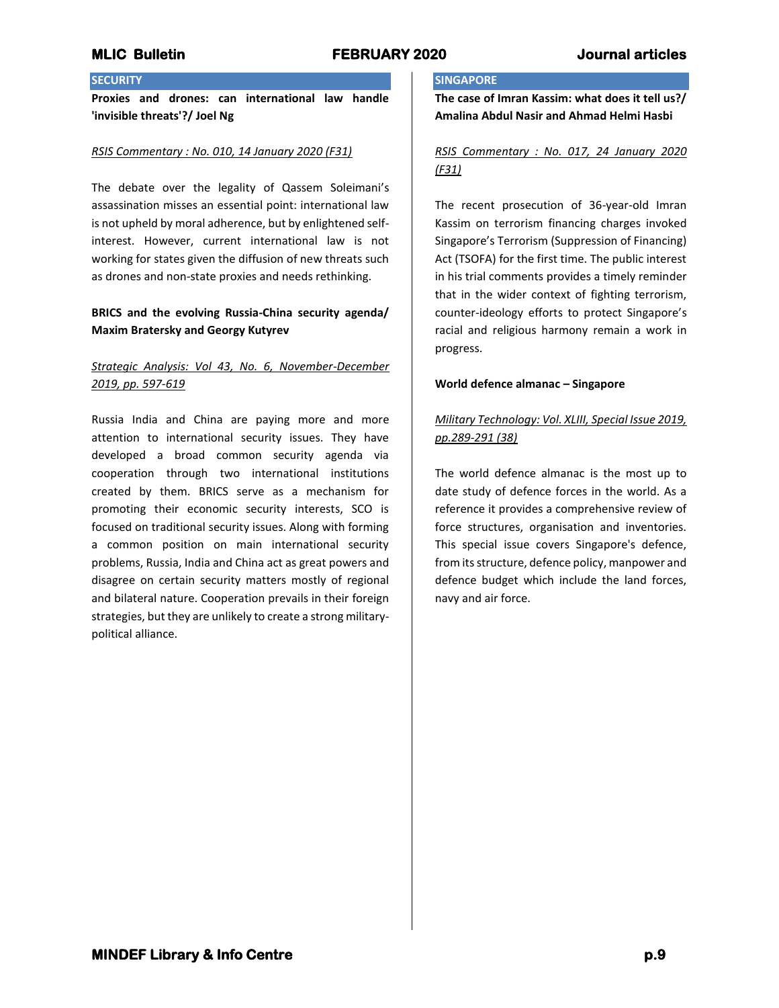# **SECURITY**

**Proxies and drones: can international law handle 'invisible threats'?/ Joel Ng**

#### *RSIS Commentary : No. 010, 14 January 2020 (F31)*

The debate over the legality of Qassem Soleimani's assassination misses an essential point: international law is not upheld by moral adherence, but by enlightened selfinterest. However, current international law is not working for states given the diffusion of new threats such as drones and non-state proxies and needs rethinking.

## **BRICS and the evolving Russia-China security agenda/ Maxim Bratersky and Georgy Kutyrev**

# *Strategic Analysis: Vol 43, No. 6, November-December 2019, pp. 597-619*

Russia India and China are paying more and more attention to international security issues. They have developed a broad common security agenda via cooperation through two international institutions created by them. BRICS serve as a mechanism for promoting their economic security interests, SCO is focused on traditional security issues. Along with forming a common position on main international security problems, Russia, India and China act as great powers and disagree on certain security matters mostly of regional and bilateral nature. Cooperation prevails in their foreign strategies, but they are unlikely to create a strong militarypolitical alliance.

### **SINGAPORE**

**The case of Imran Kassim: what does it tell us?/ Amalina Abdul Nasir and Ahmad Helmi Hasbi**

# *RSIS Commentary : No. 017, 24 January 2020 (F31)*

The recent prosecution of 36-year-old Imran Kassim on terrorism financing charges invoked Singapore's Terrorism (Suppression of Financing) Act (TSOFA) for the first time. The public interest in his trial comments provides a timely reminder that in the wider context of fighting terrorism, counter-ideology efforts to protect Singapore's racial and religious harmony remain a work in progress.

#### **World defence almanac – Singapore**

# *Military Technology: Vol. XLIII, Special Issue 2019, pp.289-291 (38)*

The world defence almanac is the most up to date study of defence forces in the world. As a reference it provides a comprehensive review of force structures, organisation and inventories. This special issue covers Singapore's defence, from its structure, defence policy, manpower and defence budget which include the land forces, navy and air force.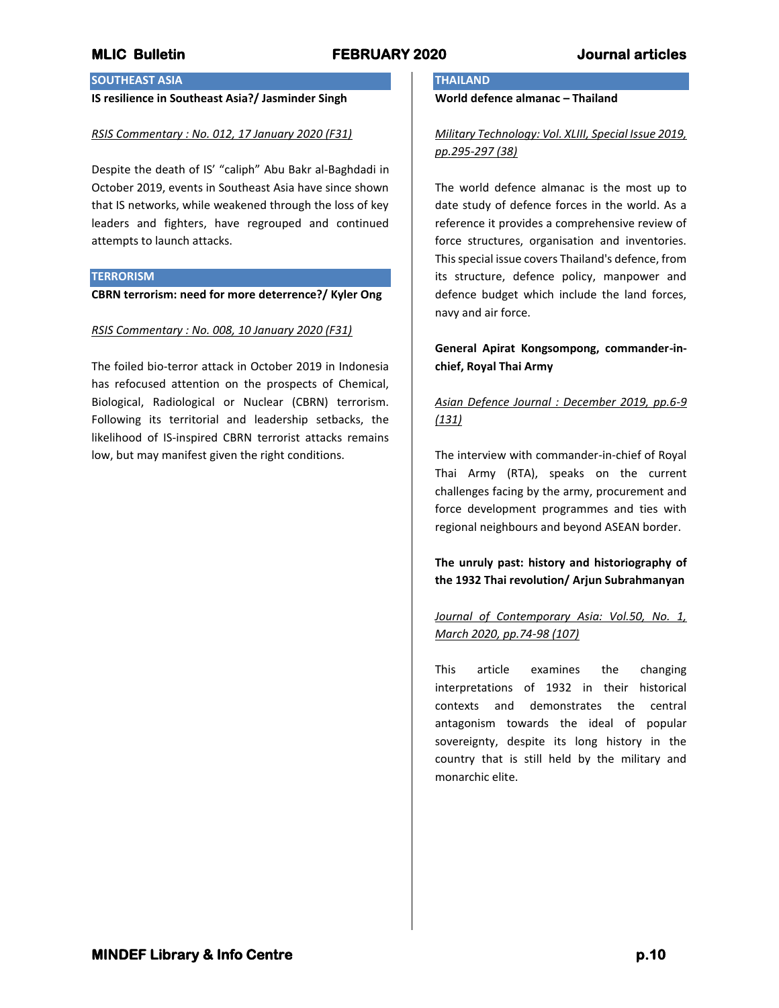# **SOUTHEAST ASIA**

# **IS resilience in Southeast Asia?/ Jasminder Singh**

#### *RSIS Commentary : No. 012, 17 January 2020 (F31)*

Despite the death of IS' "caliph" Abu Bakr al-Baghdadi in October 2019, events in Southeast Asia have since shown that IS networks, while weakened through the loss of key leaders and fighters, have regrouped and continued attempts to launch attacks.

#### **TERRORISM**

**CBRN terrorism: need for more deterrence?/ Kyler Ong**

### *RSIS Commentary : No. 008, 10 January 2020 (F31)*

The foiled bio-terror attack in October 2019 in Indonesia has refocused attention on the prospects of Chemical, Biological, Radiological or Nuclear (CBRN) terrorism. Following its territorial and leadership setbacks, the likelihood of IS-inspired CBRN terrorist attacks remains low, but may manifest given the right conditions.

## **THAILAND**

**World defence almanac – Thailand**

*Military Technology: Vol. XLIII, Special Issue 2019, pp.295-297 (38)*

The world defence almanac is the most up to date study of defence forces in the world. As a reference it provides a comprehensive review of force structures, organisation and inventories. This special issue covers Thailand's defence, from its structure, defence policy, manpower and defence budget which include the land forces, navy and air force.

# **General Apirat Kongsompong, commander-inchief, Royal Thai Army**

# *Asian Defence Journal : December 2019, pp.6-9 (131)*

The interview with commander-in-chief of Royal Thai Army (RTA), speaks on the current challenges facing by the army, procurement and force development programmes and ties with regional neighbours and beyond ASEAN border.

**The unruly past: history and historiography of the 1932 Thai revolution/ Arjun Subrahmanyan**

# *Journal of Contemporary Asia: Vol.50, No. 1, March 2020, pp.74-98 (107)*

This article examines the changing interpretations of 1932 in their historical contexts and demonstrates the central antagonism towards the ideal of popular sovereignty, despite its long history in the country that is still held by the military and monarchic elite.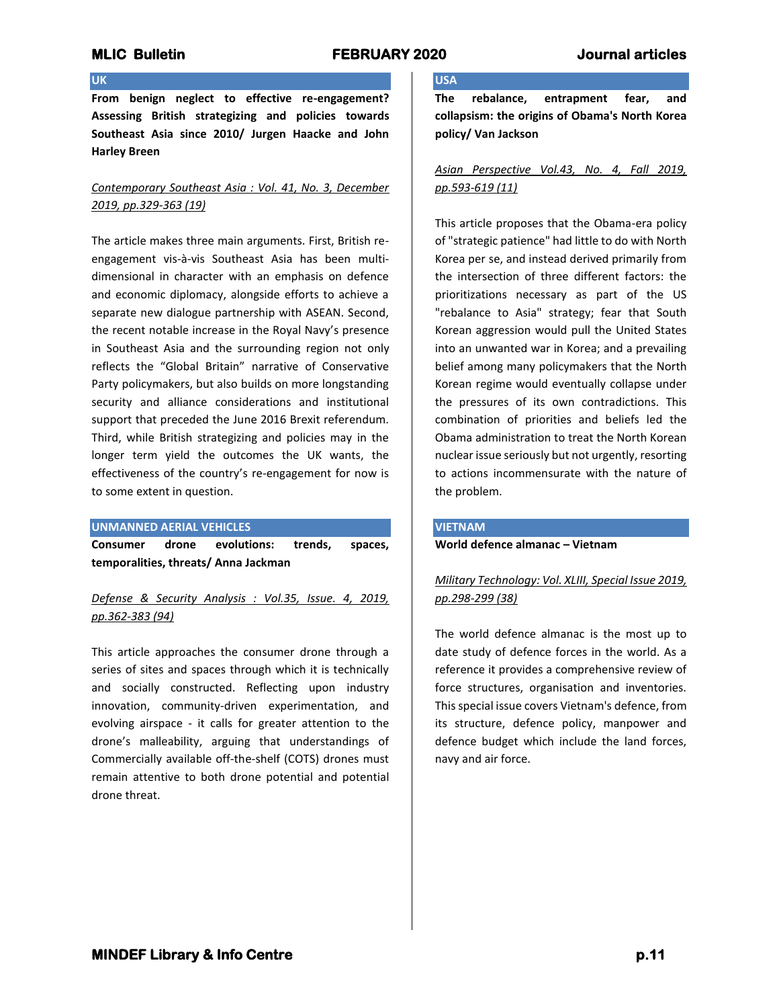# **UK**

**From benign neglect to effective re-engagement? Assessing British strategizing and policies towards Southeast Asia since 2010/ Jurgen Haacke and John Harley Breen**

## *Contemporary Southeast Asia : Vol. 41, No. 3, December 2019, pp.329-363 (19)*

The article makes three main arguments. First, British reengagement vis-à-vis Southeast Asia has been multidimensional in character with an emphasis on defence and economic diplomacy, alongside efforts to achieve a separate new dialogue partnership with ASEAN. Second, the recent notable increase in the Royal Navy's presence in Southeast Asia and the surrounding region not only reflects the "Global Britain" narrative of Conservative Party policymakers, but also builds on more longstanding security and alliance considerations and institutional support that preceded the June 2016 Brexit referendum. Third, while British strategizing and policies may in the longer term yield the outcomes the UK wants, the effectiveness of the country's re-engagement for now is to some extent in question.

#### **UNMANNED AERIAL VEHICLES**

**Consumer drone evolutions: trends, spaces, temporalities, threats/ Anna Jackman**

# *Defense & Security Analysis : Vol.35, Issue. 4, 2019, pp.362-383 (94)*

This article approaches the consumer drone through a series of sites and spaces through which it is technically and socially constructed. Reflecting upon industry innovation, community-driven experimentation, and evolving airspace - it calls for greater attention to the drone's malleability, arguing that understandings of Commercially available off-the-shelf (COTS) drones must remain attentive to both drone potential and potential drone threat.

# **USA**

**The rebalance, entrapment fear, and collapsism: the origins of Obama's North Korea policy/ Van Jackson**

## *Asian Perspective Vol.43, No. 4, Fall 2019, pp.593-619 (11)*

This article proposes that the Obama-era policy of "strategic patience" had little to do with North Korea per se, and instead derived primarily from the intersection of three different factors: the prioritizations necessary as part of the US "rebalance to Asia" strategy; fear that South Korean aggression would pull the United States into an unwanted war in Korea; and a prevailing belief among many policymakers that the North Korean regime would eventually collapse under the pressures of its own contradictions. This combination of priorities and beliefs led the Obama administration to treat the North Korean nuclear issue seriously but not urgently, resorting to actions incommensurate with the nature of the problem.

### **VIETNAM**

**World defence almanac – Vietnam**

# *Military Technology: Vol. XLIII, Special Issue 2019, pp.298-299 (38)*

The world defence almanac is the most up to date study of defence forces in the world. As a reference it provides a comprehensive review of force structures, organisation and inventories. This special issue covers Vietnam's defence, from its structure, defence policy, manpower and defence budget which include the land forces, navy and air force.